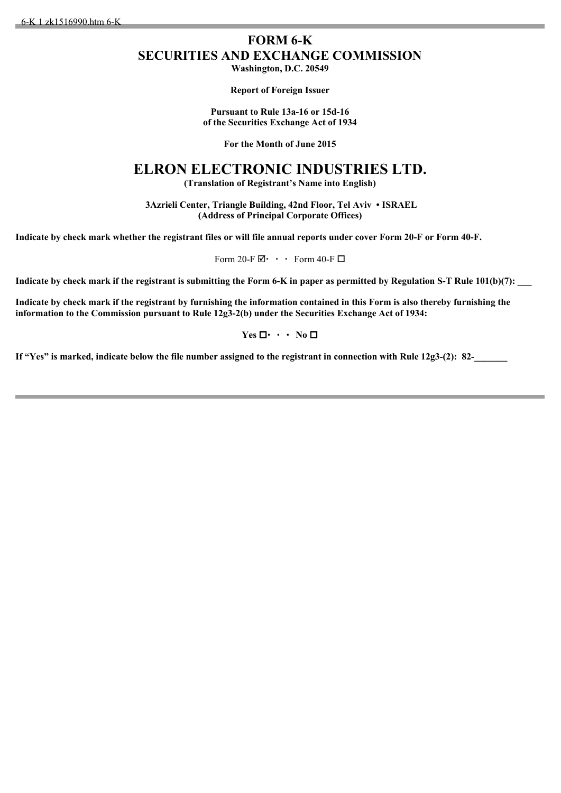6-K 1 zk1516990.htm 6-K

## **FORM 6-K SECURITIES AND EXCHANGE COMMISSION Washington, D.C. 20549**

**Report of Foreign Issuer**

**Pursuant to Rule 13a-16 or 15d-16 of the Securities Exchange Act of 1934**

**For the Month of June 2015**

## **ELRON ELECTRONIC INDUSTRIES LTD.**

**(Translation of Registrant's Name into English)**

 **3Azrieli Center, Triangle Building, 42nd Floor, Tel Aviv • ISRAEL (Address of Principal Corporate Offices)**

**Indicate by check mark whether the registrant files or will file annual reports under cover Form 20-F or Form 40-F.**

Form 20-F $\boxtimes$  Form 40-F $\Box$ 

Indicate by check mark if the registrant is submitting the Form 6-K in paper as permitted by Regulation S-T Rule 101(b)(7):

**Indicate by check mark if the registrant by furnishing the information contained in this Form is also thereby furnishing the information to the Commission pursuant to Rule 12g3-2(b) under the Securities Exchange Act of 1934:**

 $Yes \Box \cdot \cdot \cdot No \Box$ 

**If "Yes" is marked, indicate below the file number assigned to the registrant in connection with Rule 12g3-(2): 82-**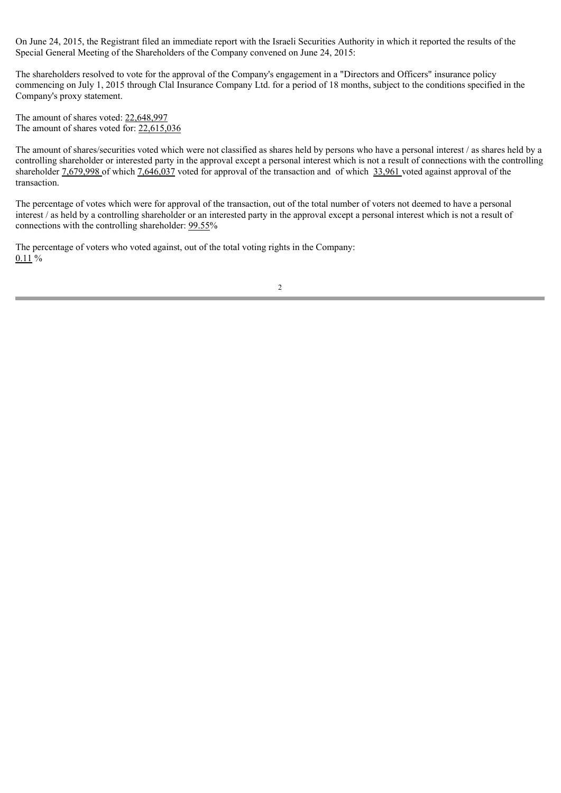On June 24, 2015, the Registrant filed an immediate report with the Israeli Securities Authority in which it reported the results of the Special General Meeting of the Shareholders of the Company convened on June 24, 2015:

The shareholders resolved to vote for the approval of the Company's engagement in a "Directors and Officers" insurance policy commencing on July 1, 2015 through Clal Insurance Company Ltd. for a period of 18 months, subject to the conditions specified in the Company's proxy statement.

The amount of shares voted: 22,648,997 The amount of shares voted for: 22,615,036

The amount of shares/securities voted which were not classified as shares held by persons who have a personal interest / as shares held by a controlling shareholder or interested party in the approval except a personal interest which is not a result of connections with the controlling shareholder 7,679,998 of which 7,646,037 voted for approval of the transaction and of which 33,961 voted against approval of the transaction.

The percentage of votes which were for approval of the transaction, out of the total number of voters not deemed to have a personal interest / as held by a controlling shareholder or an interested party in the approval except a personal interest which is not a result of connections with the controlling shareholder: 99.55%

The percentage of voters who voted against, out of the total voting rights in the Company: 0.11 %